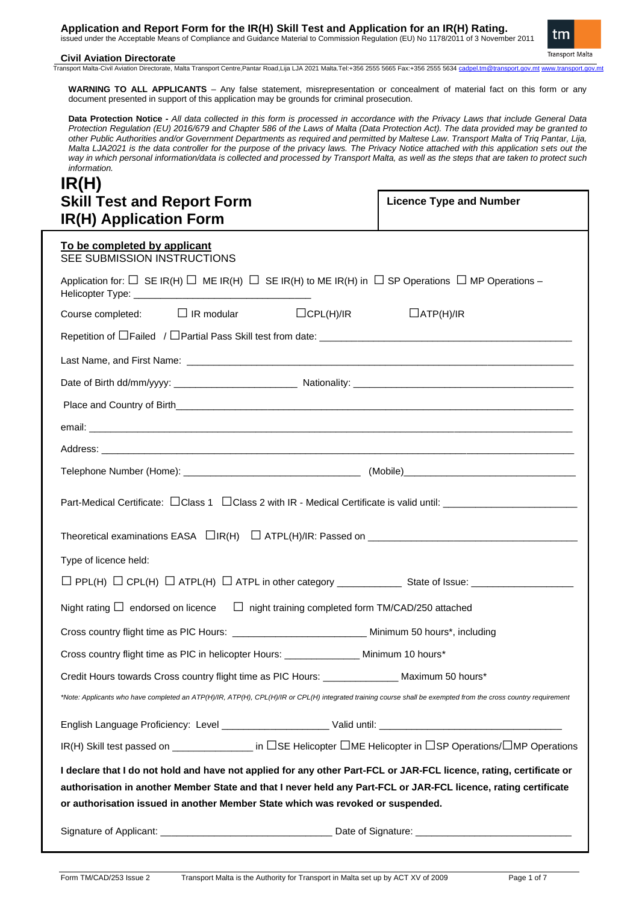**Application and Report Form for the IR(H) Skill Test and Application for an IR(H) Rating.** issued under the Acceptable Means of Compliance and Guidance Material to Commission Regulation (EU) No 1178/2011 of 3 November 2011



## **Civil Aviation Directorate**

Transport Malta-Civil Aviation Directorate, Malta Transport Centre,Pantar Road,Lija LJA 2021 Malta.Tel:+356 2555 5665 Fax:+356 2555 5634 cadpel.tm@tran

**WARNING TO ALL APPLICANTS** – Any false statement, misrepresentation or concealment of material fact on this form or any document presented in support of this application may be grounds for criminal prosecution.

**Data Protection Notice -** *All data collected in this form is processed in accordance with the Privacy Laws that include General Data Protection Regulation (EU) 2016/679 and Chapter 586 of the Laws of Malta (Data Protection Act). The data provided may be granted to other Public Authorities and/or Government Departments as required and permitted by Maltese Law. Transport Malta of Triq Pantar, Lija, Malta LJA2021 is the data controller for the purpose of the privacy laws. The Privacy Notice attached with this application sets out the way in which personal information/data is collected and processed by Transport Malta, as well as the steps that are taken to protect such information.*

# **IR(H) Skill Test and Report Form IR(H) Application Form**

**Licence Type and Number** 

| $\mathbf{m}$ (11) Application Form                                                                                                                                                                                                                                                                                        |                                      |  |  |  |  |
|---------------------------------------------------------------------------------------------------------------------------------------------------------------------------------------------------------------------------------------------------------------------------------------------------------------------------|--------------------------------------|--|--|--|--|
| To be completed by applicant<br>SEE SUBMISSION INSTRUCTIONS                                                                                                                                                                                                                                                               |                                      |  |  |  |  |
| Application for: $\Box$ SE IR(H) $\Box$ ME IR(H) $\Box$ SE IR(H) to ME IR(H) in $\Box$ SP Operations $\Box$ MP Operations –                                                                                                                                                                                               |                                      |  |  |  |  |
| $\Box$ IR modular<br>Course completed:                                                                                                                                                                                                                                                                                    | $\Box$ CPL(H)/IR<br>$\Box$ ATP(H)/IR |  |  |  |  |
|                                                                                                                                                                                                                                                                                                                           |                                      |  |  |  |  |
|                                                                                                                                                                                                                                                                                                                           |                                      |  |  |  |  |
|                                                                                                                                                                                                                                                                                                                           |                                      |  |  |  |  |
|                                                                                                                                                                                                                                                                                                                           |                                      |  |  |  |  |
|                                                                                                                                                                                                                                                                                                                           |                                      |  |  |  |  |
|                                                                                                                                                                                                                                                                                                                           |                                      |  |  |  |  |
|                                                                                                                                                                                                                                                                                                                           |                                      |  |  |  |  |
|                                                                                                                                                                                                                                                                                                                           |                                      |  |  |  |  |
|                                                                                                                                                                                                                                                                                                                           |                                      |  |  |  |  |
| Type of licence held:                                                                                                                                                                                                                                                                                                     |                                      |  |  |  |  |
|                                                                                                                                                                                                                                                                                                                           |                                      |  |  |  |  |
| Night rating $\Box$ endorsed on licence $\Box$ night training completed form TM/CAD/250 attached                                                                                                                                                                                                                          |                                      |  |  |  |  |
| Cross country flight time as PIC Hours: ______________________________ Minimum 50 hours*, including                                                                                                                                                                                                                       |                                      |  |  |  |  |
| Cross country flight time as PIC in helicopter Hours: ________________ Minimum 10 hours*                                                                                                                                                                                                                                  |                                      |  |  |  |  |
| Credit Hours towards Cross country flight time as PIC Hours: _______________ Maximum 50 hours*                                                                                                                                                                                                                            |                                      |  |  |  |  |
| *Note: Applicants who have completed an ATP(H)/IR, ATP(H), CPL(H)/IR or CPL(H) integrated training course shall be exempted from the cross country requirement                                                                                                                                                            |                                      |  |  |  |  |
|                                                                                                                                                                                                                                                                                                                           |                                      |  |  |  |  |
| IR(H) Skill test passed on _______________ in □SE Helicopter □ME Helicopter in □SP Operations/□MP Operations                                                                                                                                                                                                              |                                      |  |  |  |  |
| I declare that I do not hold and have not applied for any other Part-FCL or JAR-FCL licence, rating, certificate or<br>authorisation in another Member State and that I never held any Part-FCL or JAR-FCL licence, rating certificate<br>or authorisation issued in another Member State which was revoked or suspended. |                                      |  |  |  |  |
|                                                                                                                                                                                                                                                                                                                           |                                      |  |  |  |  |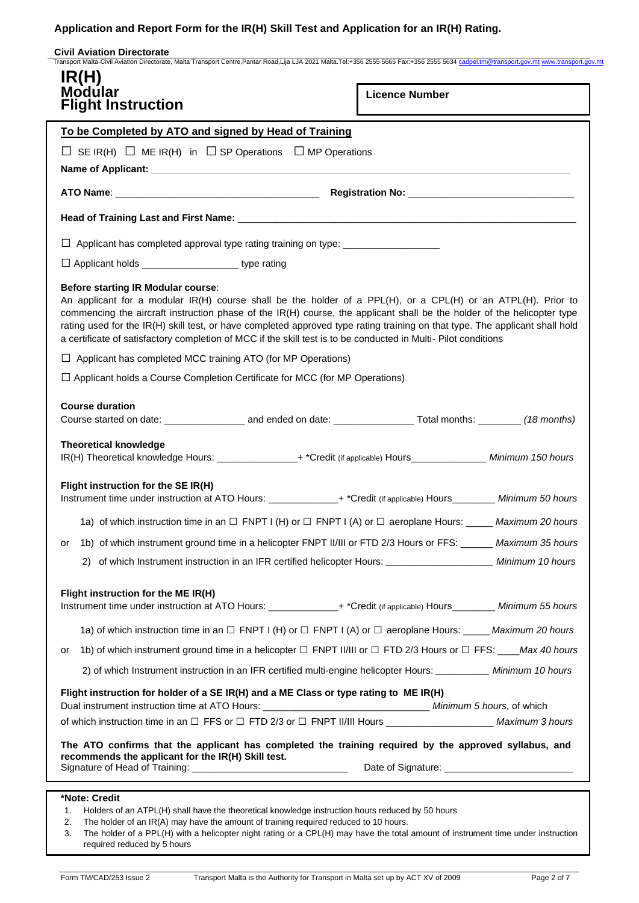## **Civil Aviation Directorate**

| <b>Modular</b><br><b>Flight Instruction</b>                                                                                                                                                                                                                                                                                                                                                                                                                                                                                             | <b>Licence Number</b> |
|-----------------------------------------------------------------------------------------------------------------------------------------------------------------------------------------------------------------------------------------------------------------------------------------------------------------------------------------------------------------------------------------------------------------------------------------------------------------------------------------------------------------------------------------|-----------------------|
| To be Completed by ATO and signed by Head of Training                                                                                                                                                                                                                                                                                                                                                                                                                                                                                   |                       |
| $\Box$ SE IR(H) $\Box$ ME IR(H) in $\Box$ SP Operations $\Box$ MP Operations                                                                                                                                                                                                                                                                                                                                                                                                                                                            |                       |
|                                                                                                                                                                                                                                                                                                                                                                                                                                                                                                                                         |                       |
|                                                                                                                                                                                                                                                                                                                                                                                                                                                                                                                                         |                       |
|                                                                                                                                                                                                                                                                                                                                                                                                                                                                                                                                         |                       |
|                                                                                                                                                                                                                                                                                                                                                                                                                                                                                                                                         |                       |
| □ Applicant holds ______________________ type rating                                                                                                                                                                                                                                                                                                                                                                                                                                                                                    |                       |
| <b>Before starting IR Modular course:</b><br>An applicant for a modular IR(H) course shall be the holder of a PPL(H), or a CPL(H) or an ATPL(H). Prior to<br>commencing the aircraft instruction phase of the IR(H) course, the applicant shall be the holder of the helicopter type<br>rating used for the IR(H) skill test, or have completed approved type rating training on that type. The applicant shall hold<br>a certificate of satisfactory completion of MCC if the skill test is to be conducted in Multi- Pilot conditions |                       |
| $\Box$ Applicant has completed MCC training ATO (for MP Operations)                                                                                                                                                                                                                                                                                                                                                                                                                                                                     |                       |
| $\Box$ Applicant holds a Course Completion Certificate for MCC (for MP Operations)                                                                                                                                                                                                                                                                                                                                                                                                                                                      |                       |
| <b>Course duration</b><br><b>Theoretical knowledge</b><br>IR(H) Theoretical knowledge Hours: ________________+ *Credit (if applicable) Hours_______________ Minimum 150 hours                                                                                                                                                                                                                                                                                                                                                           |                       |
| Flight instruction for the SE IR(H)<br>Instrument time under instruction at ATO Hours: ______________+ *Credit (if applicable) Hours________ Minimum 50 hours                                                                                                                                                                                                                                                                                                                                                                           |                       |
| 1a) of which instruction time in an $\Box$ FNPT I (H) or $\Box$ FNPT I (A) or $\Box$ aeroplane Hours: _____ Maximum 20 hours                                                                                                                                                                                                                                                                                                                                                                                                            |                       |
| 1b) of which instrument ground time in a helicopter FNPT II/III or FTD 2/3 Hours or FFS: ______ Maximum 35 hours<br>or                                                                                                                                                                                                                                                                                                                                                                                                                  |                       |
| 2) of which Instrument instruction in an IFR certified helicopter Hours: _________________________ Minimum 10 hours                                                                                                                                                                                                                                                                                                                                                                                                                     |                       |
| Flight instruction for the ME IR(H)<br>Instrument time under instruction at ATO Hours: ______________+ *Credit (if applicable) Hours_________ Minimum 55 hours                                                                                                                                                                                                                                                                                                                                                                          |                       |
| 1a) of which instruction time in an $\Box$ FNPT I (H) or $\Box$ FNPT I (A) or $\Box$ aeroplane Hours: _____ Maximum 20 hours                                                                                                                                                                                                                                                                                                                                                                                                            |                       |
| 1b) of which instrument ground time in a helicopter $\Box$ FNPT II/III or $\Box$ FTD 2/3 Hours or $\Box$ FFS: ___Max 40 hours<br>or                                                                                                                                                                                                                                                                                                                                                                                                     |                       |
| 2) of which Instrument instruction in an IFR certified multi-engine helicopter Hours: __________ Minimum 10 hours                                                                                                                                                                                                                                                                                                                                                                                                                       |                       |
| Flight instruction for holder of a SE IR(H) and a ME Class or type rating to ME IR(H)<br>of which instruction time in an □ FFS or □ FTD 2/3 or □ FNPT II/III Hours _______________________ Maximum 3 hours                                                                                                                                                                                                                                                                                                                              |                       |
| The ATO confirms that the applicant has completed the training required by the approved syllabus, and<br>recommends the applicant for the IR(H) Skill test.                                                                                                                                                                                                                                                                                                                                                                             |                       |

- 1. Holders of an ATPL(H) shall have the theoretical knowledge instruction hours reduced by 50 hours
- 2. The holder of an IR(A) may have the amount of training required reduced to 10 hours.
- 3. The holder of a PPL(H) with a helicopter night rating or a CPL(H) may have the total amount of instrument time under instruction required reduced by 5 hours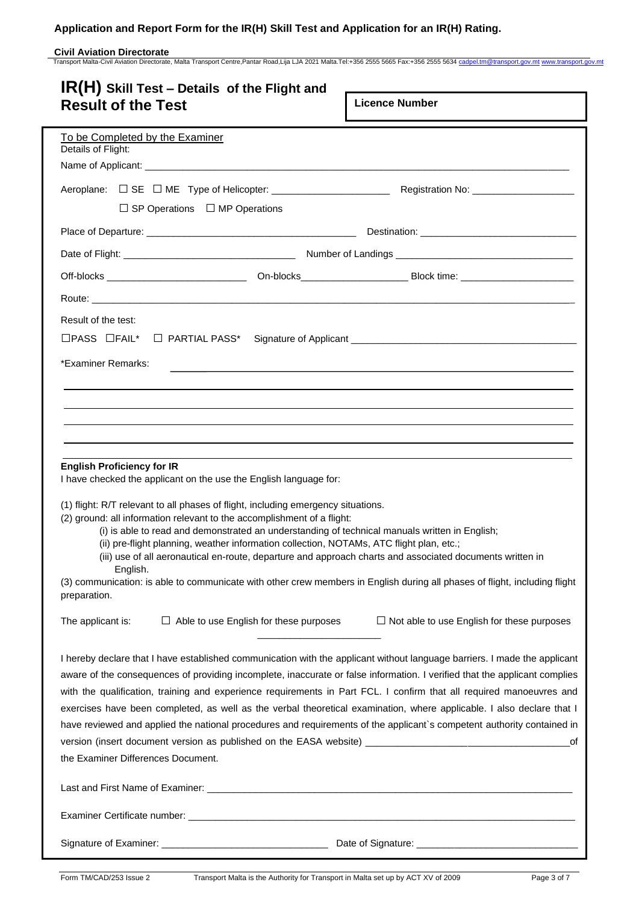# **Civil Aviation Directorate**<br>Transport Malta-Civil Aviation Directorate, Malta Transport Centre,Pantar Road,Lija LJA 2021 Malta.Tel:+356 2555 5665 Fax:+356 2555 5634 <u>[cadpel.tm@transport.gov.mt](mailto:cadpel.tm@transport.gov.mt) [www.transport.gov.mt](http://www.transport.gov.mt/)</u>

| $IR(H)$ Skill Test – Details of the Flight and                                                                                                                                                                                                          |                                                                                  |
|---------------------------------------------------------------------------------------------------------------------------------------------------------------------------------------------------------------------------------------------------------|----------------------------------------------------------------------------------|
| <b>Result of the Test</b>                                                                                                                                                                                                                               | <b>Licence Number</b>                                                            |
| To be Completed by the Examiner<br>Details of Flight:                                                                                                                                                                                                   |                                                                                  |
|                                                                                                                                                                                                                                                         |                                                                                  |
|                                                                                                                                                                                                                                                         |                                                                                  |
| $\Box$ SP Operations $\Box$ MP Operations                                                                                                                                                                                                               |                                                                                  |
|                                                                                                                                                                                                                                                         |                                                                                  |
|                                                                                                                                                                                                                                                         |                                                                                  |
|                                                                                                                                                                                                                                                         |                                                                                  |
|                                                                                                                                                                                                                                                         |                                                                                  |
| Result of the test:                                                                                                                                                                                                                                     |                                                                                  |
| $\Box$ PASS $\Box$ FAIL* $\Box$ PARTIAL PASS*                                                                                                                                                                                                           |                                                                                  |
| *Examiner Remarks:                                                                                                                                                                                                                                      | ,我们也不会有什么。""我们的人,我们也不会有什么?""我们的人,我们也不会有什么?""我们的人,我们也不会有什么?""我们的人,我们也不会有什么?""我们的人 |
|                                                                                                                                                                                                                                                         |                                                                                  |
|                                                                                                                                                                                                                                                         |                                                                                  |
|                                                                                                                                                                                                                                                         |                                                                                  |
|                                                                                                                                                                                                                                                         |                                                                                  |
| <b>English Proficiency for IR</b>                                                                                                                                                                                                                       |                                                                                  |
| I have checked the applicant on the use the English language for:                                                                                                                                                                                       |                                                                                  |
| (1) flight: R/T relevant to all phases of flight, including emergency situations.                                                                                                                                                                       |                                                                                  |
| (2) ground: all information relevant to the accomplishment of a flight:<br>(i) is able to read and demonstrated an understanding of technical manuals written in English;                                                                               |                                                                                  |
| (ii) pre-flight planning, weather information collection, NOTAMs, ATC flight plan, etc.;<br>(iii) use of all aeronautical en-route, departure and approach charts and associated documents written in                                                   |                                                                                  |
| English.                                                                                                                                                                                                                                                |                                                                                  |
| (3) communication: is able to communicate with other crew members in English during all phases of flight, including flight<br>preparation.                                                                                                              |                                                                                  |
| $\Box$ Able to use English for these purposes<br>The applicant is:                                                                                                                                                                                      | $\Box$ Not able to use English for these purposes                                |
|                                                                                                                                                                                                                                                         |                                                                                  |
| I hereby declare that I have established communication with the applicant without language barriers. I made the applicant<br>aware of the consequences of providing incomplete, inaccurate or false information. I verified that the applicant complies |                                                                                  |
| with the qualification, training and experience requirements in Part FCL. I confirm that all required manoeuvres and                                                                                                                                    |                                                                                  |
| exercises have been completed, as well as the verbal theoretical examination, where applicable. I also declare that I                                                                                                                                   |                                                                                  |
| have reviewed and applied the national procedures and requirements of the applicant's competent authority contained in                                                                                                                                  |                                                                                  |
| version (insert document version as published on the EASA website) ________________________________                                                                                                                                                     | оf                                                                               |
| the Examiner Differences Document.                                                                                                                                                                                                                      |                                                                                  |
|                                                                                                                                                                                                                                                         |                                                                                  |
|                                                                                                                                                                                                                                                         |                                                                                  |
|                                                                                                                                                                                                                                                         |                                                                                  |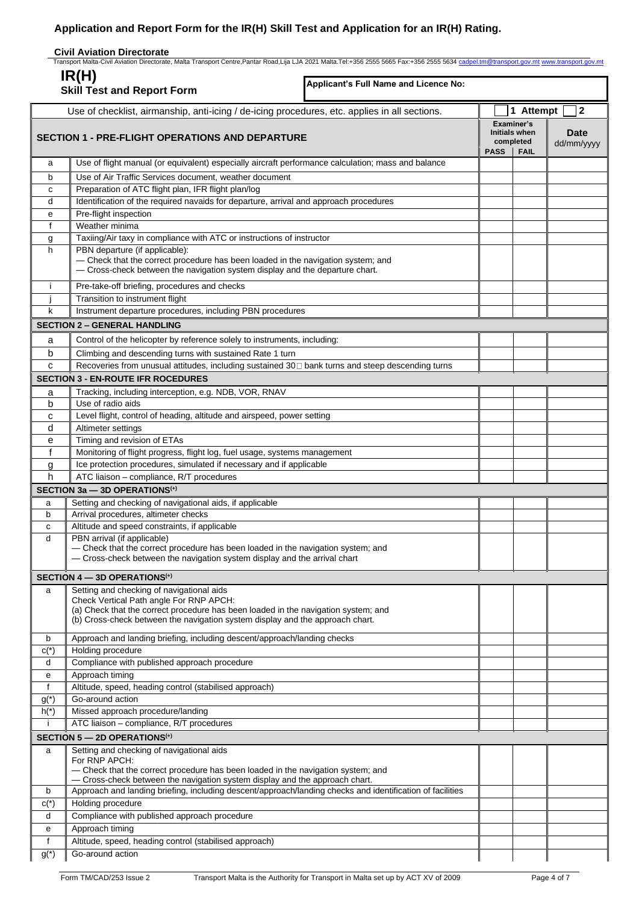|        | <b>Civil Aviation Directorate</b><br>Transport Malta-Civil Aviation Directorate, Malta Transport Centre,Pantar Road,Lija LJA 2021 Malta.Tel:+356 2555 5665 Fax:+356 2555 5634 cadpel.tm@transport.gov.mt www.transport.gov.mt |                                       |             |                                                                |                           |
|--------|-------------------------------------------------------------------------------------------------------------------------------------------------------------------------------------------------------------------------------|---------------------------------------|-------------|----------------------------------------------------------------|---------------------------|
|        | IR(H)<br><b>Skill Test and Report Form</b>                                                                                                                                                                                    | Applicant's Full Name and Licence No: |             |                                                                |                           |
|        |                                                                                                                                                                                                                               |                                       |             | 1 Attempt                                                      | $\mathbf{2}$              |
|        | Use of checklist, airmanship, anti-icing / de-icing procedures, etc. applies in all sections.<br><b>SECTION 1 - PRE-FLIGHT OPERATIONS AND DEPARTURE</b>                                                                       |                                       | <b>PASS</b> | Examiner's<br><b>Initials when</b><br>completed<br><b>FAIL</b> | <b>Date</b><br>dd/mm/yyyy |
| a      | Use of flight manual (or equivalent) especially aircraft performance calculation; mass and balance                                                                                                                            |                                       |             |                                                                |                           |
| b      | Use of Air Traffic Services document, weather document                                                                                                                                                                        |                                       |             |                                                                |                           |
| c      | Preparation of ATC flight plan, IFR flight plan/log                                                                                                                                                                           |                                       |             |                                                                |                           |
| d      | Identification of the required navaids for departure, arrival and approach procedures                                                                                                                                         |                                       |             |                                                                |                           |
| e      | Pre-flight inspection                                                                                                                                                                                                         |                                       |             |                                                                |                           |
| f      | Weather minima                                                                                                                                                                                                                |                                       |             |                                                                |                           |
| g      | Taxiing/Air taxy in compliance with ATC or instructions of instructor                                                                                                                                                         |                                       |             |                                                                |                           |
| h      | PBN departure (if applicable):<br>- Check that the correct procedure has been loaded in the navigation system; and<br>- Cross-check between the navigation system display and the departure chart.                            |                                       |             |                                                                |                           |
| j.     | Pre-take-off briefing, procedures and checks                                                                                                                                                                                  |                                       |             |                                                                |                           |
|        | Transition to instrument flight                                                                                                                                                                                               |                                       |             |                                                                |                           |
| k      | Instrument departure procedures, including PBN procedures                                                                                                                                                                     |                                       |             |                                                                |                           |
|        | <b>SECTION 2 - GENERAL HANDLING</b>                                                                                                                                                                                           |                                       |             |                                                                |                           |
| a      | Control of the helicopter by reference solely to instruments, including:                                                                                                                                                      |                                       |             |                                                                |                           |
| b      | Climbing and descending turns with sustained Rate 1 turn                                                                                                                                                                      |                                       |             |                                                                |                           |
| C      | Recoveries from unusual attitudes, including sustained 30□ bank turns and steep descending turns                                                                                                                              |                                       |             |                                                                |                           |
|        | <b>SECTION 3 - EN-ROUTE IFR ROCEDURES</b>                                                                                                                                                                                     |                                       |             |                                                                |                           |
| a      | Tracking, including interception, e.g. NDB, VOR, RNAV                                                                                                                                                                         |                                       |             |                                                                |                           |
| b      | Use of radio aids                                                                                                                                                                                                             |                                       |             |                                                                |                           |
| c      | Level flight, control of heading, altitude and airspeed, power setting                                                                                                                                                        |                                       |             |                                                                |                           |
| d      | Altimeter settings                                                                                                                                                                                                            |                                       |             |                                                                |                           |
| е      | Timing and revision of ETAs                                                                                                                                                                                                   |                                       |             |                                                                |                           |
| f      | Monitoring of flight progress, flight log, fuel usage, systems management                                                                                                                                                     |                                       |             |                                                                |                           |
| g      | Ice protection procedures, simulated if necessary and if applicable                                                                                                                                                           |                                       |             |                                                                |                           |
| h      | ATC liaison - compliance, R/T procedures                                                                                                                                                                                      |                                       |             |                                                                |                           |
|        | SECTION 3a - 3D OPERATIONS <sup>(+)</sup>                                                                                                                                                                                     |                                       |             |                                                                |                           |
| a      | Setting and checking of navigational aids, if applicable                                                                                                                                                                      |                                       |             |                                                                |                           |
| b      | Arrival procedures, altimeter checks                                                                                                                                                                                          |                                       |             |                                                                |                           |
| C<br>d | Altitude and speed constraints, if applicable<br>PBN arrival (if applicable)                                                                                                                                                  |                                       |             |                                                                |                           |
|        | - Check that the correct procedure has been loaded in the navigation system; and<br>- Cross-check between the navigation system display and the arrival chart                                                                 |                                       |             |                                                                |                           |
|        | SECTION 4 - 3D OPERATIONS <sup>(+)</sup>                                                                                                                                                                                      |                                       |             |                                                                |                           |
| a      | Setting and checking of navigational aids                                                                                                                                                                                     |                                       |             |                                                                |                           |
|        | Check Vertical Path angle For RNP APCH:<br>(a) Check that the correct procedure has been loaded in the navigation system; and<br>(b) Cross-check between the navigation system display and the approach chart.                |                                       |             |                                                                |                           |
| b      | Approach and landing briefing, including descent/approach/landing checks                                                                                                                                                      |                                       |             |                                                                |                           |
| $c(*)$ | Holding procedure                                                                                                                                                                                                             |                                       |             |                                                                |                           |
| d      | Compliance with published approach procedure                                                                                                                                                                                  |                                       |             |                                                                |                           |
| е      | Approach timing                                                                                                                                                                                                               |                                       |             |                                                                |                           |
| f      | Altitude, speed, heading control (stabilised approach)                                                                                                                                                                        |                                       |             |                                                                |                           |
| $g(*)$ | Go-around action                                                                                                                                                                                                              |                                       |             |                                                                |                           |
| $h(*)$ | Missed approach procedure/landing<br>ATC liaison - compliance, R/T procedures                                                                                                                                                 |                                       |             |                                                                |                           |
|        |                                                                                                                                                                                                                               |                                       |             |                                                                |                           |
|        | SECTION 5 - 2D OPERATIONS <sup>(+)</sup>                                                                                                                                                                                      |                                       |             |                                                                |                           |
| a      | Setting and checking of navigational aids<br>For RNP APCH:<br>- Check that the correct procedure has been loaded in the navigation system; and<br>- Cross-check between the navigation system display and the approach chart. |                                       |             |                                                                |                           |
| b      | Approach and landing briefing, including descent/approach/landing checks and identification of facilities                                                                                                                     |                                       |             |                                                                |                           |
| $c(*)$ | Holding procedure                                                                                                                                                                                                             |                                       |             |                                                                |                           |
| d      | Compliance with published approach procedure                                                                                                                                                                                  |                                       |             |                                                                |                           |
| е      | Approach timing                                                                                                                                                                                                               |                                       |             |                                                                |                           |
| f      | Altitude, speed, heading control (stabilised approach)                                                                                                                                                                        |                                       |             |                                                                |                           |
| $g(*)$ | Go-around action                                                                                                                                                                                                              |                                       |             |                                                                |                           |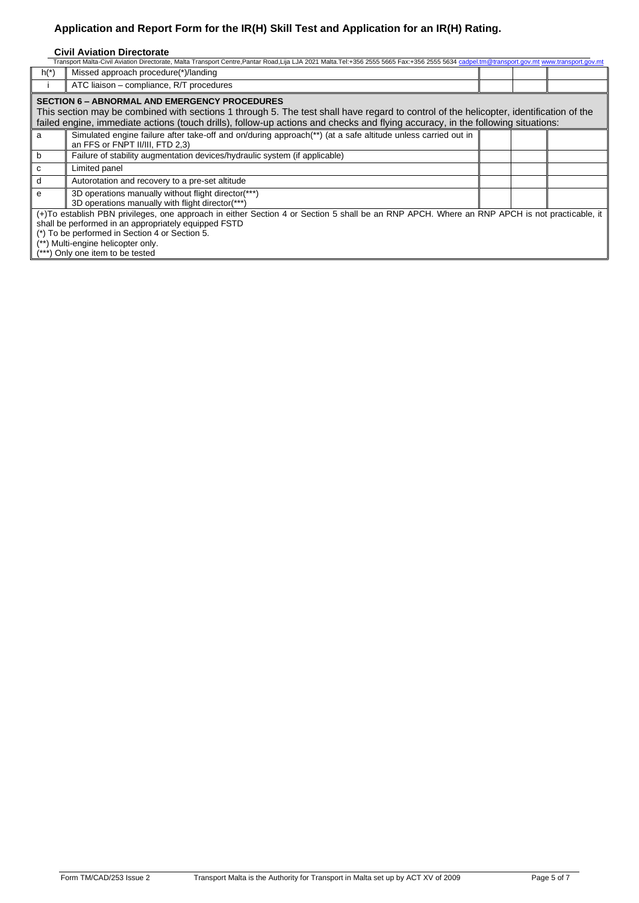## **Civil Aviation Directorate**

| Transport Malta-Civil Aviation Directorate, Malta Transport Centre,Pantar Road,Lija LJA 2021 Malta.Tel:+356 2555 5665 Fax:+356 2555 5634 cadpel.tm@transport.gov.mt www.transport.gov.mt                                                                                                                                          |                                                                                                                                                 |  |  |  |
|-----------------------------------------------------------------------------------------------------------------------------------------------------------------------------------------------------------------------------------------------------------------------------------------------------------------------------------|-------------------------------------------------------------------------------------------------------------------------------------------------|--|--|--|
| $h(*)$                                                                                                                                                                                                                                                                                                                            | Missed approach procedure(*)/landing                                                                                                            |  |  |  |
|                                                                                                                                                                                                                                                                                                                                   | ATC liaison – compliance, R/T procedures                                                                                                        |  |  |  |
| <b>SECTION 6 - ABNORMAL AND EMERGENCY PROCEDURES</b><br>This section may be combined with sections 1 through 5. The test shall have regard to control of the helicopter, identification of the<br>failed engine, immediate actions (touch drills), follow-up actions and checks and flying accuracy, in the following situations: |                                                                                                                                                 |  |  |  |
| a                                                                                                                                                                                                                                                                                                                                 | Simulated engine failure after take-off and on/during approach(**) (at a safe altitude unless carried out in<br>an FFS or FNPT II/III, FTD 2,3) |  |  |  |
| b                                                                                                                                                                                                                                                                                                                                 | Failure of stability augmentation devices/hydraulic system (if applicable)                                                                      |  |  |  |
| C                                                                                                                                                                                                                                                                                                                                 | Limited panel                                                                                                                                   |  |  |  |
| d                                                                                                                                                                                                                                                                                                                                 | Autorotation and recovery to a pre-set altitude                                                                                                 |  |  |  |
| е                                                                                                                                                                                                                                                                                                                                 | 3D operations manually without flight director(***)<br>3D operations manually with flight director(***)                                         |  |  |  |
| (+)To establish PBN privileges, one approach in either Section 4 or Section 5 shall be an RNP APCH. Where an RNP APCH is not practicable, it<br>shall be performed in an appropriately equipped FSTD<br>(*) To be performed in Section 4 or Section 5.<br>(**) Multi-engine helicopter only.<br>Only one item to be tested        |                                                                                                                                                 |  |  |  |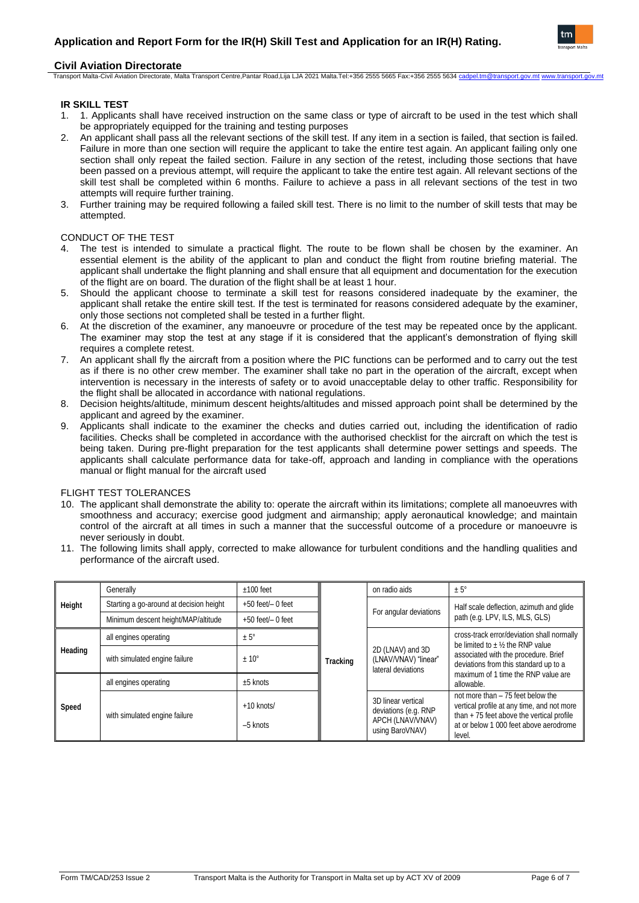

## **Civil Aviation Directorate**

Transport Malta-Civil Aviation Directorate, Malta Transport Centre,Pantar Road,Lija LJA 2021 Malta.Tel:+356 2555 5665 Fax:+356 2555 5634

## **IR SKILL TEST**

- 1. 1. Applicants shall have received instruction on the same class or type of aircraft to be used in the test which shall be appropriately equipped for the training and testing purposes
- 2. An applicant shall pass all the relevant sections of the skill test. If any item in a section is failed, that section is failed. Failure in more than one section will require the applicant to take the entire test again. An applicant failing only one section shall only repeat the failed section. Failure in any section of the retest, including those sections that have been passed on a previous attempt, will require the applicant to take the entire test again. All relevant sections of the skill test shall be completed within 6 months. Failure to achieve a pass in all relevant sections of the test in two attempts will require further training.
- 3. Further training may be required following a failed skill test. There is no limit to the number of skill tests that may be attempted.

#### CONDUCT OF THE TEST

- 4. The test is intended to simulate a practical flight. The route to be flown shall be chosen by the examiner. An essential element is the ability of the applicant to plan and conduct the flight from routine briefing material. The applicant shall undertake the flight planning and shall ensure that all equipment and documentation for the execution of the flight are on board. The duration of the flight shall be at least 1 hour.
- 5. Should the applicant choose to terminate a skill test for reasons considered inadequate by the examiner, the applicant shall retake the entire skill test. If the test is terminated for reasons considered adequate by the examiner, only those sections not completed shall be tested in a further flight.
- 6. At the discretion of the examiner, any manoeuvre or procedure of the test may be repeated once by the applicant. The examiner may stop the test at any stage if it is considered that the applicant's demonstration of flying skill requires a complete retest.
- 7. An applicant shall fly the aircraft from a position where the PIC functions can be performed and to carry out the test as if there is no other crew member. The examiner shall take no part in the operation of the aircraft, except when intervention is necessary in the interests of safety or to avoid unacceptable delay to other traffic. Responsibility for the flight shall be allocated in accordance with national regulations.
- 8. Decision heights/altitude, minimum descent heights/altitudes and missed approach point shall be determined by the applicant and agreed by the examiner.
- 9. Applicants shall indicate to the examiner the checks and duties carried out, including the identification of radio facilities. Checks shall be completed in accordance with the authorised checklist for the aircraft on which the test is being taken. During pre-flight preparation for the test applicants shall determine power settings and speeds. The applicants shall calculate performance data for take-off, approach and landing in compliance with the operations manual or flight manual for the aircraft used

## FLIGHT TEST TOLERANCES

- 10. The applicant shall demonstrate the ability to: operate the aircraft within its limitations; complete all manoeuvres with smoothness and accuracy; exercise good judgment and airmanship; apply aeronautical knowledge; and maintain control of the aircraft at all times in such a manner that the successful outcome of a procedure or manoeuvre is never seriously in doubt.
- 11. The following limits shall apply, corrected to make allowance for turbulent conditions and the handling qualities and performance of the aircraft used.

| Height  | Generally                               | $±100$ feet                | Tracking | on radio aids                                                                     | $± 5^\circ$                                                                                                                                                                       |  |  |
|---------|-----------------------------------------|----------------------------|----------|-----------------------------------------------------------------------------------|-----------------------------------------------------------------------------------------------------------------------------------------------------------------------------------|--|--|
|         | Starting a go-around at decision height | $+50$ feet/ $-0$ feet      |          | For angular deviations                                                            | Half scale deflection, azimuth and glide                                                                                                                                          |  |  |
|         | Minimum descent height/MAP/altitude     | $+50$ feet/ $-0$ feet      |          |                                                                                   | path (e.g. LPV, ILS, MLS, GLS)                                                                                                                                                    |  |  |
| Heading | all engines operating                   | $± 5^{\circ}$              |          |                                                                                   | cross-track error/deviation shall normally<br>be limited to $\pm$ 1/2 the RNP value                                                                                               |  |  |
|         | with simulated engine failure           | $± 10^{\circ}$             |          | 2D (LNAV) and 3D<br>(LNAV/VNAV) "linear"<br>lateral deviations                    | associated with the procedure. Brief<br>deviations from this standard up to a<br>maximum of 1 time the RNP value are<br>allowable.                                                |  |  |
| Speed   | all engines operating                   | $±5$ knots                 |          |                                                                                   |                                                                                                                                                                                   |  |  |
|         | with simulated engine failure           | $+10$ knots/<br>$-5$ knots |          | 3D linear vertical<br>deviations (e.g. RNP<br>APCH (LNAV/VNAV)<br>using BaroVNAV) | not more than - 75 feet below the<br>vertical profile at any time, and not more<br>than $+75$ feet above the vertical profile<br>at or below 1 000 feet above aerodrome<br>level. |  |  |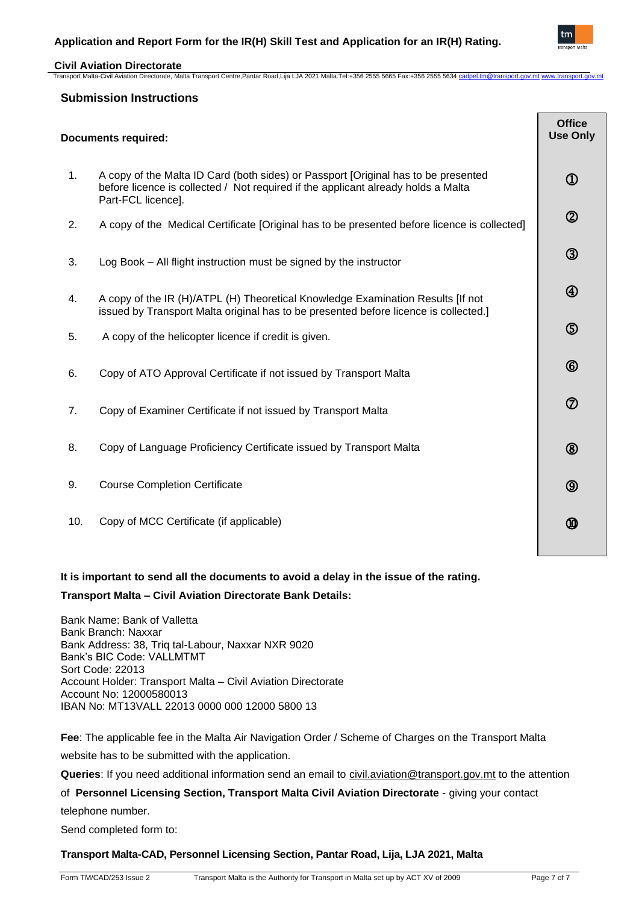

## **Civil Aviation Directorate**

Transport Malta-Civil Aviation Directorate, Malta Transport Centre,Pantar Road,Lija LJA 2021 Malta.Tel:+356 2555 5665 Fax:+356 2555 5634 [cadpel.tm@transport.gov.mt](mailto:cadpel.tm@transport.gov.mt) www.transport.go

## **Submission Instructions**

| <b>Documents required:</b> |                                                                                                                                                                                               |                |
|----------------------------|-----------------------------------------------------------------------------------------------------------------------------------------------------------------------------------------------|----------------|
| 1.                         | A copy of the Malta ID Card (both sides) or Passport [Original has to be presented<br>before licence is collected / Not required if the applicant already holds a Malta<br>Part-FCL licence]. | $^\copyright$  |
| 2.                         | A copy of the Medical Certificate [Original has to be presented before licence is collected]                                                                                                  | $^{\circledR}$ |
| 3.                         | Log Book - All flight instruction must be signed by the instructor                                                                                                                            | $\circledS$    |
| 4.                         | A copy of the IR (H)/ATPL (H) Theoretical Knowledge Examination Results [If not<br>issued by Transport Malta original has to be presented before licence is collected.]                       | $^{\circledR}$ |
| 5.                         | A copy of the helicopter licence if credit is given.                                                                                                                                          | $\circledS$    |
| 6.                         | Copy of ATO Approval Certificate if not issued by Transport Malta                                                                                                                             | $^{\circledR}$ |
| 7.                         | Copy of Examiner Certificate if not issued by Transport Malta                                                                                                                                 | $^\circledR$   |
| 8.                         | Copy of Language Proficiency Certificate issued by Transport Malta                                                                                                                            | $^{\circledR}$ |
| 9.                         | <b>Course Completion Certificate</b>                                                                                                                                                          | $^{\circledR}$ |
| 10.                        | Copy of MCC Certificate (if applicable)                                                                                                                                                       | ⅏              |

## **It is important to send all the documents to avoid a delay in the issue of the rating.**

## **Transport Malta – Civil Aviation Directorate Bank Details:**

Bank Name: Bank of Valletta Bank Branch: Naxxar Bank Address: 38, Triq tal-Labour, Naxxar NXR 9020 Bank's BIC Code: VALLMTMT Sort Code: 22013 Account Holder: Transport Malta – Civil Aviation Directorate Account No: 12000580013 IBAN No: MT13VALL 22013 0000 000 12000 5800 13

**Fee**: The applicable fee in the Malta Air Navigation Order / Scheme of Charges on the Transport Malta website has to be submitted with the application.

**Queries**: If you need additional information send an email to [civil.aviation@transport.gov.mt](mailto:civil.aviation@transport.gov.mt) to the attention

of **Personnel Licensing Section, Transport Malta Civil Aviation Directorate** - giving your contact

telephone number.

Send completed form to:

## **Transport Malta-CAD, Personnel Licensing Section, Pantar Road, Lija, LJA 2021, Malta**